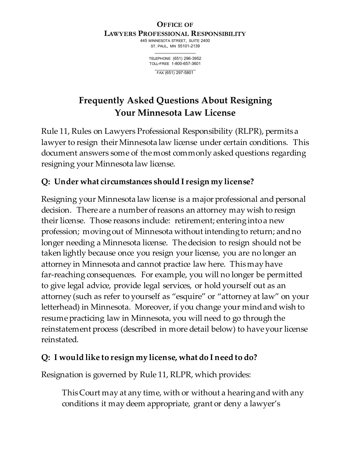#### **OFFICE OF LAWYERS PROFESSIONAL RESPONSIBILITY**

445 MINNESOTA STREET, SUITE 2400 ST. PAUL, MN 55101-2139

> TELEPHONE (651) 296-3952 TOLL-FREE 1-800-657-3601

> > FAX (651) 297-5801

# **Frequently Asked Questions About Resigning Your Minnesota Law License**

Rule 11, Rules on Lawyers Professional Responsibility (RLPR), permits a lawyer to resign their Minnesota law license under certain conditions. This document answers some of the most commonly asked questions regarding resigning your Minnesota law license.

# **Q: Under what circumstances should I resign my license?**

Resigning your Minnesota law license is a major professional and personal decision. There are a number of reasons an attorney may wish to resign their license. Those reasons include: retirement; entering into a new profession; moving out of Minnesota without intending to return; and no longer needing a Minnesota license. The decision to resign should not be taken lightly because once you resign your license, you are no longer an attorney in Minnesota and cannot practice law here. This may have far-reaching consequences. For example, you will no longer be permitted to give legal advice, provide legal services, or hold yourself out as an attorney (such as refer to yourself as "esquire" or "attorney at law" on your letterhead) in Minnesota. Moreover, if you change your mind and wish to resume practicing law in Minnesota, you will need to go through the reinstatement process (described in more detail below) to have your license reinstated.

# **Q: I would like to resign my license, what do I need to do?**

Resignation is governed by Rule 11, RLPR, which provides:

This Court may at any time, with or without a hearing and with any conditions it may deem appropriate, grant or deny a lawyer's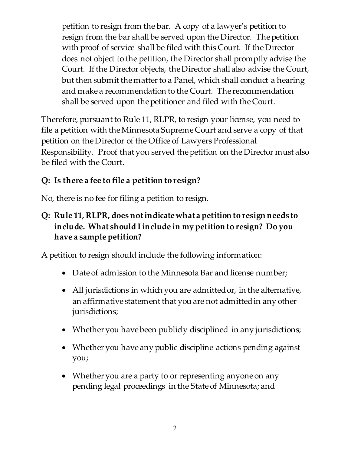petition to resign from the bar. A copy of a lawyer's petition to resign from the bar shall be served upon the Director. The petition with proof of service shall be filed with this Court. If the Director does not object to the petition, the Director shall promptly advise the Court. If the Director objects, the Director shall also advise the Court, but then submit the matter to a Panel, which shall conduct a hearing and make a recommendation to the Court. The recommendation shall be served upon the petitioner and filed with the Court.

Therefore, pursuant to Rule 11, RLPR, to resign your license, you need to file a petition with the Minnesota Supreme Court and serve a copy of that petition on the Director of the Office of Lawyers Professional Responsibility. Proof that you served the petition on the Director must also be filed with the Court.

#### **Q: Is there a fee to file a petition to resign?**

No, there is no fee for filing a petition to resign.

#### **Q: Rule 11, RLPR, does not indicate what a petition to resign needs to include. What should I include in my petition to resign? Do you have a sample petition?**

A petition to resign should include the following information:

- Date of admission to the Minnesota Bar and license number;
- All jurisdictions in which you are admitted or, in the alternative, an affirmative statement that you are not admitted in any other jurisdictions;
- Whether you have been publicly disciplined in any jurisdictions;
- Whether you have any public discipline actions pending against you;
- Whether you are a party to or representing anyone on any pending legal proceedings in the State of Minnesota; and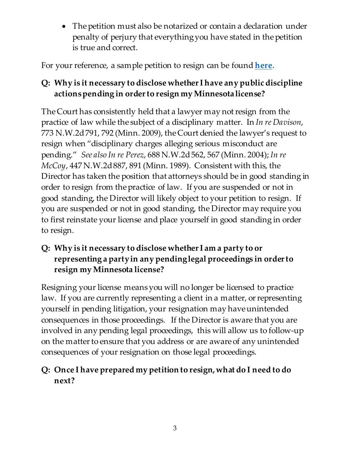• The petition must also be notarized or contain a declaration under penalty of perjury that everything you have stated in the petition is true and correct.

For your reference, a sample petition to resign can be found **here**.

# **Q: Why is it necessary to disclose whether I have any public discipline actions pending in order to resign my Minnesota license?**

The Court has consistently held that a lawyer may not resign from the practice of law while the subject of a disciplinary matter. In *In re Davison*, 773 N.W.2d 791, 792 (Minn. 2009), the Court denied the lawyer's request to resign when "disciplinary charges alleging serious misconduct are pending." *See also In re Perez*, 688 N.W.2d 562, 567 (Minn. 2004); *In re McCoy*, 447 N.W.2d 887, 891 (Minn. 1989). Consistent with this, the Director has taken the position that attorneys should be in good standing in order to resign from the practice of law. If you are suspended or not in good standing, the Director will likely object to your petition to resign. If you are suspended or not in good standing, the Director may require you to first reinstate your license and place yourself in good standing in order to resign.

#### **Q: Why is it necessary to disclose whether I am a party to or representing a party in any pending legal proceedings in order to resign my Minnesota license?**

Resigning your license means you will no longer be licensed to practice law. If you are currently representing a client in a matter, or representing yourself in pending litigation, your resignation may have unintended consequences in those proceedings. If the Director is aware that you are involved in any pending legal proceedings, this will allow us to follow-up on the matter to ensure that you address or are aware of any unintended consequences of your resignation on those legal proceedings.

# **Q: Once I have prepared my petition to resign, what do I need to do next?**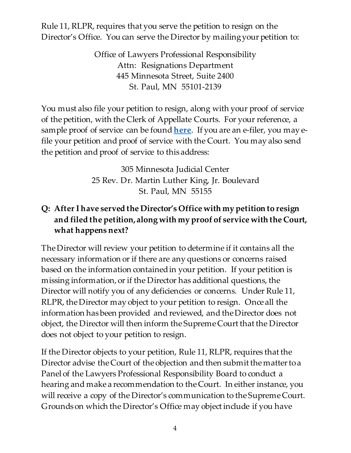Rule 11, RLPR, requires that you serve the petition to resign on the Director's Office. You can serve the Director by mailing your petition to:

> Office of Lawyers Professional Responsibility Attn: Resignations Department 445 Minnesota Street, Suite 2400 St. Paul, MN 55101-2139

You must also file your petition to resign, along with your proof of service of the petition, with the Clerk of Appellate Courts. For your reference, a sample proof of service can be found **here**. If you are an e-filer, you may efile your petition and proof of service with the Court. You may also send the petition and proof of service to this address:

> 305 Minnesota Judicial Center 25 Rev. Dr. Martin Luther King, Jr. Boulevard St. Paul, MN 55155

### **Q: After I have served the Director's Office with my petition to resign and filed the petition, along with my proof of service with the Court, what happens next?**

The Director will review your petition to determine if it contains all the necessary information or if there are any questions or concerns raised based on the information contained in your petition. If your petition is missing information, or if the Director has additional questions, the Director will notify you of any deficiencies or concerns. Under Rule 11, RLPR, the Director may object to your petition to resign. Once all the information has been provided and reviewed, and the Director does not object, the Director will then inform the Supreme Court that the Director does not object to your petition to resign.

If the Director objects to your petition, Rule 11, RLPR, requires that the Director advise the Court of the objection and then submit the matter to a Panel of the Lawyers Professional Responsibility Board to conduct a hearing and make a recommendation to the Court. In either instance, you will receive a copy of the Director's communication to the Supreme Court. Grounds on which the Director's Office may object include if you have